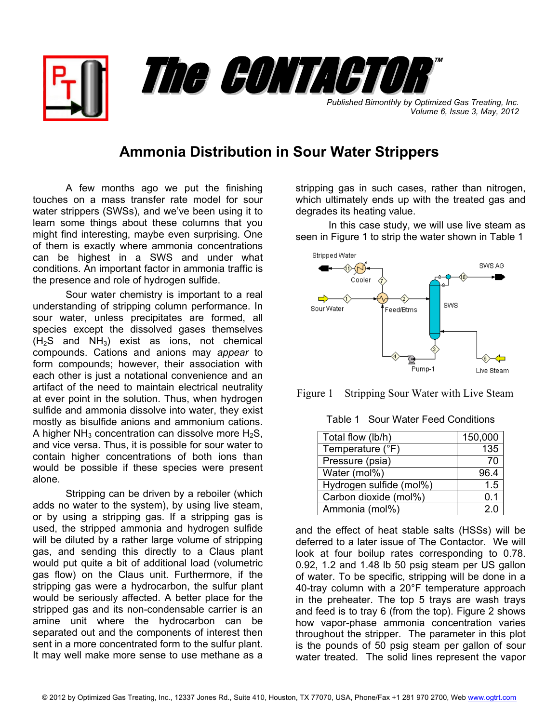

*Published Bimonthly by Optimized Gas Treating, Inc. Volume 6, Issue 3, May, 2012*

## **Ammonia Distribution in Sour Water Strippers**

A few months ago we put the finishing touches on a mass transfer rate model for sour water strippers (SWSs), and we've been using it to learn some things about these columns that you might find interesting, maybe even surprising. One of them is exactly where ammonia concentrations can be highest in a SWS and under what conditions. An important factor in ammonia traffic is the presence and role of hydrogen sulfide.

Sour water chemistry is important to a real understanding of stripping column performance. In sour water, unless precipitates are formed, all species except the dissolved gases themselves  $(H<sub>2</sub>S$  and  $NH<sub>3</sub>)$  exist as ions, not chemical compounds. Cations and anions may *appear* to form compounds; however, their association with each other is just a notational convenience and an artifact of the need to maintain electrical neutrality at ever point in the solution. Thus, when hydrogen sulfide and ammonia dissolve into water, they exist mostly as bisulfide anions and ammonium cations. A higher  $NH<sub>3</sub>$  concentration can dissolve more H<sub>2</sub>S. and vice versa. Thus, it is possible for sour water to contain higher concentrations of both ions than would be possible if these species were present alone.

Stripping can be driven by a reboiler (which adds no water to the system), by using live steam, or by using a stripping gas. If a stripping gas is used, the stripped ammonia and hydrogen sulfide will be diluted by a rather large volume of stripping gas, and sending this directly to a Claus plant would put quite a bit of additional load (volumetric gas flow) on the Claus unit. Furthermore, if the stripping gas were a hydrocarbon, the sulfur plant would be seriously affected. A better place for the stripped gas and its non-condensable carrier is an amine unit where the hydrocarbon can be separated out and the components of interest then sent in a more concentrated form to the sulfur plant. It may well make more sense to use methane as a

stripping gas in such cases, rather than nitrogen, which ultimately ends up with the treated gas and degrades its heating value.

In this case study, we will use live steam as seen in Figure 1 to strip the water shown in Table 1





Table 1 Sour Water Feed Conditions

| Total flow (lb/h)       | 150,000 |
|-------------------------|---------|
| Temperature (°F)        | 135     |
| Pressure (psia)         |         |
| Water (mol%)            | 96.4    |
| Hydrogen sulfide (mol%) | 1.5     |
| Carbon dioxide (mol%)   | 0.1     |
| Ammonia (mol%)          | 2 በ     |

and the effect of heat stable salts (HSSs) will be deferred to a later issue of The Contactor. We will look at four boilup rates corresponding to 0.78. 0.92, 1.2 and 1.48 lb 50 psig steam per US gallon of water. To be specific, stripping will be done in a 40-tray column with a 20°F temperature approach in the preheater. The top 5 trays are wash trays and feed is to tray 6 (from the top). Figure 2 shows how vapor-phase ammonia concentration varies throughout the stripper. The parameter in this plot is the pounds of 50 psig steam per gallon of sour water treated. The solid lines represent the vapor